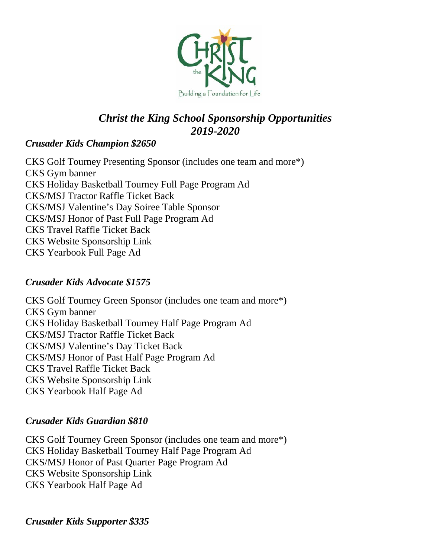

# *Christ the King School Sponsorship Opportunities 2019-2020*

## *Crusader Kids Champion \$2650*

CKS Golf Tourney Presenting Sponsor (includes one team and more\*) CKS Gym banner CKS Holiday Basketball Tourney Full Page Program Ad CKS/MSJ Tractor Raffle Ticket Back CKS/MSJ Valentine's Day Soiree Table Sponsor CKS/MSJ Honor of Past Full Page Program Ad CKS Travel Raffle Ticket Back CKS Website Sponsorship Link CKS Yearbook Full Page Ad

## *Crusader Kids Advocate \$1575*

CKS Golf Tourney Green Sponsor (includes one team and more\*) CKS Gym banner CKS Holiday Basketball Tourney Half Page Program Ad CKS/MSJ Tractor Raffle Ticket Back CKS/MSJ Valentine's Day Ticket Back CKS/MSJ Honor of Past Half Page Program Ad CKS Travel Raffle Ticket Back CKS Website Sponsorship Link CKS Yearbook Half Page Ad

### *Crusader Kids Guardian \$810*

CKS Golf Tourney Green Sponsor (includes one team and more\*) CKS Holiday Basketball Tourney Half Page Program Ad CKS/MSJ Honor of Past Quarter Page Program Ad CKS Website Sponsorship Link CKS Yearbook Half Page Ad

*Crusader Kids Supporter \$335*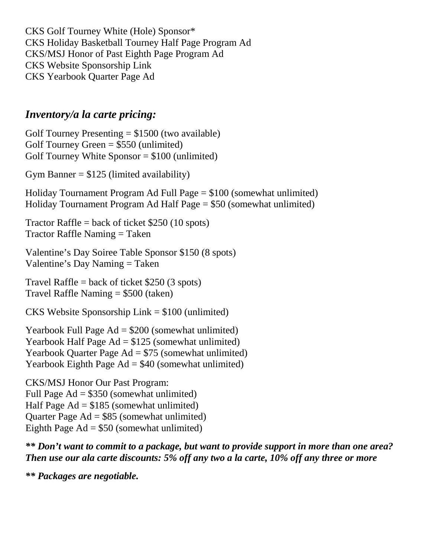CKS Golf Tourney White (Hole) Sponsor\* CKS Holiday Basketball Tourney Half Page Program Ad CKS/MSJ Honor of Past Eighth Page Program Ad CKS Website Sponsorship Link CKS Yearbook Quarter Page Ad

## *Inventory/a la carte pricing:*

Golf Tourney Presenting  $= $1500$  (two available) Golf Tourney Green  $= $550$  (unlimited) Golf Tourney White Sponsor  $= $100$  (unlimited)

Gym Banner  $= $125$  (limited availability)

Holiday Tournament Program Ad Full Page = \$100 (somewhat unlimited) Holiday Tournament Program Ad Half Page = \$50 (somewhat unlimited)

Tractor Raffle = back of ticket  $$250$  (10 spots)  $Traction$  Raffle Naming = Taken

Valentine's Day Soiree Table Sponsor \$150 (8 spots) Valentine's Day Naming = Taken

Travel Raffle = back of ticket  $$250 (3 spots)$ Travel Raffle Naming = \$500 (taken)

CKS Website Sponsorship Link = \$100 (unlimited)

Yearbook Full Page Ad = \$200 (somewhat unlimited) Yearbook Half Page  $Ad = $125$  (somewhat unlimited) Yearbook Quarter Page Ad = \$75 (somewhat unlimited) Yearbook Eighth Page  $Ad = $40$  (somewhat unlimited)

CKS/MSJ Honor Our Past Program: Full Page Ad = \$350 (somewhat unlimited) Half Page  $Ad = $185$  (somewhat unlimited) Quarter Page Ad = \$85 (somewhat unlimited) Eighth Page  $Ad = $50$  (somewhat unlimited)

*\*\* Don't want to commit to a package, but want to provide support in more than one area? Then use our ala carte discounts: 5% off any two a la carte, 10% off any three or more*

*\*\* Packages are negotiable.*